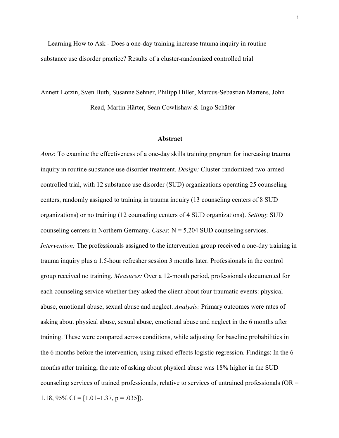Learning How to Ask - Does a one-day training increase trauma inquiry in routine substance use disorder practice? Results of a cluster-randomized controlled trial

Annett Lotzin, Sven Buth, Susanne Sehner, Philipp Hiller, Marcus-Sebastian Martens, John Read, Martin Härter, Sean Cowlishaw & Ingo Schäfer

#### **Abstract**

*Aims*: To examine the effectiveness of a one-day skills training program for increasing trauma inquiry in routine substance use disorder treatment. *Design:* Cluster-randomized two-armed controlled trial, with 12 substance use disorder (SUD) organizations operating 25 counseling centers, randomly assigned to training in trauma inquiry (13 counseling centers of 8 SUD organizations) or no training (12 counseling centers of 4 SUD organizations). *Setting*: SUD counseling centers in Northern Germany. *Cases*: N = 5,204 SUD counseling services. *Intervention:* The professionals assigned to the intervention group received a one-day training in trauma inquiry plus a 1.5-hour refresher session 3 months later. Professionals in the control group received no training. *Measures:* Over a 12-month period, professionals documented for each counseling service whether they asked the client about four traumatic events: physical abuse, emotional abuse, sexual abuse and neglect. *Analysis:* Primary outcomes were rates of asking about physical abuse, sexual abuse, emotional abuse and neglect in the 6 months after training. These were compared across conditions, while adjusting for baseline probabilities in the 6 months before the intervention, using mixed-effects logistic regression. Findings: In the 6 months after training, the rate of asking about physical abuse was 18% higher in the SUD counseling services of trained professionals, relative to services of untrained professionals (OR = 1.18, 95% CI =  $[1.01-1.37, p = .035]$ ).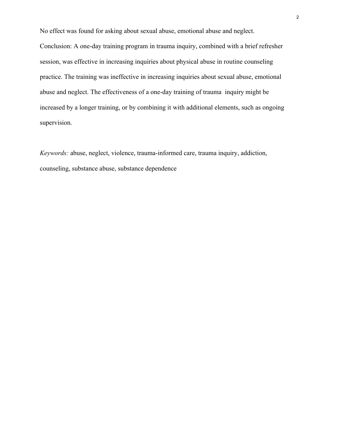No effect was found for asking about sexual abuse, emotional abuse and neglect. Conclusion: A one-day training program in trauma inquiry, combined with a brief refresher session, was effective in increasing inquiries about physical abuse in routine counseling practice. The training was ineffective in increasing inquiries about sexual abuse, emotional abuse and neglect. The effectiveness of a one-day training of trauma inquiry might be increased by a longer training, or by combining it with additional elements, such as ongoing supervision.

*Keywords:* abuse, neglect, violence, trauma-informed care, trauma inquiry, addiction, counseling, substance abuse, substance dependence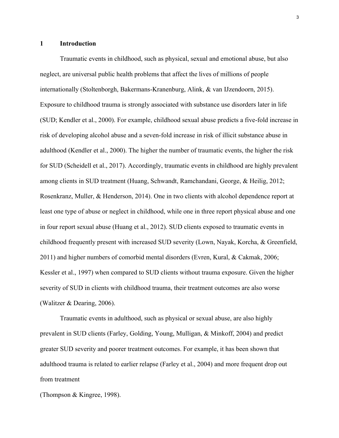# **1 Introduction**

Traumatic events in childhood, such as physical, sexual and emotional abuse, but also neglect, are universal public health problems that affect the lives of millions of people internationally (Stoltenborgh, Bakermans-Kranenburg, Alink, & van IJzendoorn, 2015). Exposure to childhood trauma is strongly associated with substance use disorders later in life (SUD; Kendler et al., 2000). For example, childhood sexual abuse predicts a five-fold increase in risk of developing alcohol abuse and a seven-fold increase in risk of illicit substance abuse in adulthood (Kendler et al., 2000). The higher the number of traumatic events, the higher the risk for SUD (Scheidell et al., 2017). Accordingly, traumatic events in childhood are highly prevalent among clients in SUD treatment (Huang, Schwandt, Ramchandani, George, & Heilig, 2012; Rosenkranz, Muller, & Henderson, 2014). One in two clients with alcohol dependence report at least one type of abuse or neglect in childhood, while one in three report physical abuse and one in four report sexual abuse (Huang et al., 2012). SUD clients exposed to traumatic events in childhood frequently present with increased SUD severity (Lown, Nayak, Korcha, & Greenfield, 2011) and higher numbers of comorbid mental disorders (Evren, Kural, & Cakmak, 2006; Kessler et al., 1997) when compared to SUD clients without trauma exposure. Given the higher severity of SUD in clients with childhood trauma, their treatment outcomes are also worse (Walitzer & Dearing, 2006).

Traumatic events in adulthood, such as physical or sexual abuse, are also highly prevalent in SUD clients (Farley, Golding, Young, Mulligan, & Minkoff, 2004) and predict greater SUD severity and poorer treatment outcomes. For example, it has been shown that adulthood trauma is related to earlier relapse (Farley et al., 2004) and more frequent drop out from treatment

(Thompson & Kingree, 1998).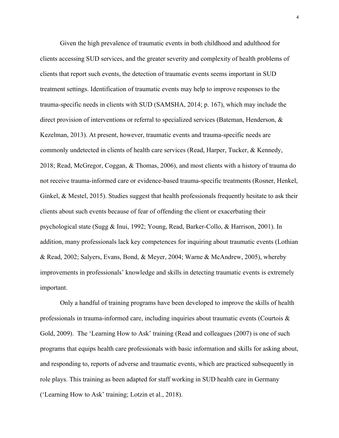Given the high prevalence of traumatic events in both childhood and adulthood for clients accessing SUD services, and the greater severity and complexity of health problems of clients that report such events, the detection of traumatic events seems important in SUD treatment settings. Identification of traumatic events may help to improve responses to the trauma-specific needs in clients with SUD (SAMSHA, 2014; p. 167), which may include the direct provision of interventions or referral to specialized services (Bateman, Henderson, & Kezelman, 2013). At present, however, traumatic events and trauma-specific needs are commonly undetected in clients of health care services (Read, Harper, Tucker, & Kennedy, 2018; Read, McGregor, Coggan, & Thomas, 2006), and most clients with a history of trauma do not receive trauma-informed care or evidence-based trauma-specific treatments (Rosner, Henkel, Ginkel, & Mestel, 2015). Studies suggest that health professionals frequently hesitate to ask their clients about such events because of fear of offending the client or exacerbating their psychological state (Sugg & Inui, 1992; Young, Read, Barker-Collo, & Harrison, 2001). In addition, many professionals lack key competences for inquiring about traumatic events (Lothian & Read, 2002; Salyers, Evans, Bond, & Meyer, 2004; Warne & McAndrew, 2005), whereby improvements in professionals' knowledge and skills in detecting traumatic events is extremely important.

Only a handful of training programs have been developed to improve the skills of health professionals in trauma-informed care, including inquiries about traumatic events (Courtois & Gold, 2009). The 'Learning How to Ask' training (Read and colleagues (2007) is one of such programs that equips health care professionals with basic information and skills for asking about, and responding to, reports of adverse and traumatic events, which are practiced subsequently in role plays. This training as been adapted for staff working in SUD health care in Germany ('Learning How to Ask' training; Lotzin et al., 2018).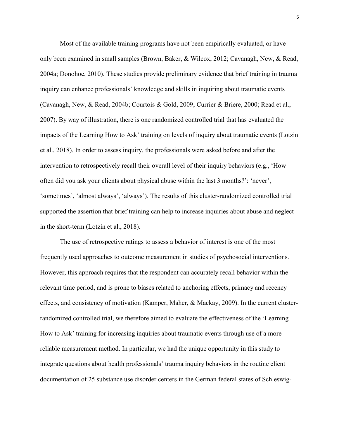Most of the available training programs have not been empirically evaluated, or have only been examined in small samples (Brown, Baker, & Wilcox, 2012; Cavanagh, New, & Read, 2004a; Donohoe, 2010). These studies provide preliminary evidence that brief training in trauma inquiry can enhance professionals' knowledge and skills in inquiring about traumatic events (Cavanagh, New, & Read, 2004b; Courtois & Gold, 2009; Currier & Briere, 2000; Read et al., 2007). By way of illustration, there is one randomized controlled trial that has evaluated the impacts of the Learning How to Ask' training on levels of inquiry about traumatic events (Lotzin et al., 2018). In order to assess inquiry, the professionals were asked before and after the intervention to retrospectively recall their overall level of their inquiry behaviors (e.g., 'How often did you ask your clients about physical abuse within the last 3 months?': 'never', 'sometimes', 'almost always', 'always'). The results of this cluster-randomized controlled trial supported the assertion that brief training can help to increase inquiries about abuse and neglect in the short-term (Lotzin et al., 2018).

The use of retrospective ratings to assess a behavior of interest is one of the most frequently used approaches to outcome measurement in studies of psychosocial interventions. However, this approach requires that the respondent can accurately recall behavior within the relevant time period, and is prone to biases related to anchoring effects, primacy and recency effects, and consistency of motivation (Kamper, Maher, & Mackay, 2009). In the current clusterrandomized controlled trial, we therefore aimed to evaluate the effectiveness of the 'Learning How to Ask' training for increasing inquiries about traumatic events through use of a more reliable measurement method. In particular, we had the unique opportunity in this study to integrate questions about health professionals' trauma inquiry behaviors in the routine client documentation of 25 substance use disorder centers in the German federal states of Schleswig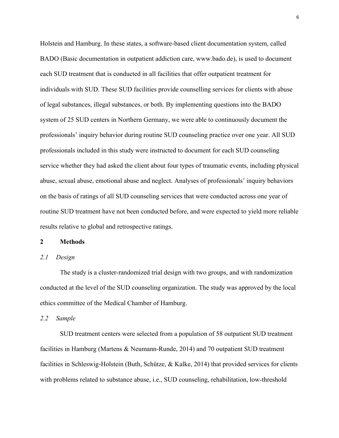Holstein and Hamburg. In these states, a software-based client documentation system, called BADO (Basic documentation in outpatient addiction care, www.bado.de), is used to document each SUD treatment that is conducted in all facilities that offer outpatient treatment for individuals with SUD. These SUD facilities provide counselling services for clients with abuse of legal substances, illegal substances, or both. By implementing questions into the BADO system of 25 SUD centers in Northern Germany, we were able to continuously document the professionals' inquiry behavior during routine SUD counseling practice over one year. All SUD professionals included in this study were instructed to document for each SUD counseling service whether they had asked the client about four types of traumatic events, including physical abuse, sexual abuse, emotional abuse and neglect. Analyses of professionals' inquiry behaviors on the basis of ratings of all SUD counseling services that were conducted across one year of routine SUD treatment have not been conducted before, and were expected to yield more reliable results relative to global and retrospective ratings.

# **2 Methods**

# *2.1 Design*

The study is a cluster-randomized trial design with two groups, and with randomization conducted at the level of the SUD counseling organization. The study was approved by the local ethics committee of the Medical Chamber of Hamburg.

#### *2.2 Sample*

SUD treatment centers were selected from a population of 58 outpatient SUD treatment facilities in Hamburg (Martens & Neumann-Runde, 2014) and 70 outpatient SUD treatment facilities in Schleswig-Holstein (Buth, Schütze, & Kalke, 2014) that provided services for clients with problems related to substance abuse, i.e., SUD counseling, rehabilitation, low-threshold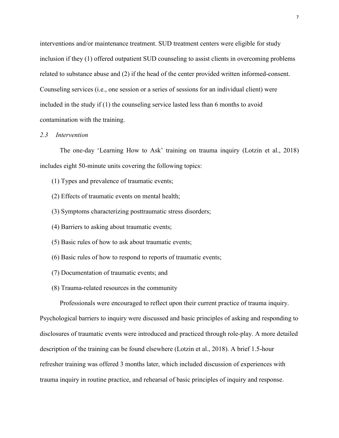interventions and/or maintenance treatment. SUD treatment centers were eligible for study inclusion if they (1) offered outpatient SUD counseling to assist clients in overcoming problems related to substance abuse and (2) if the head of the center provided written informed-consent. Counseling services (i.e., one session or a series of sessions for an individual client) were included in the study if (1) the counseling service lasted less than 6 months to avoid contamination with the training.

### *2.3 Intervention*

The one-day 'Learning How to Ask' training on trauma inquiry (Lotzin et al., 2018) includes eight 50-minute units covering the following topics:

- (1) Types and prevalence of traumatic events;
- (2) Effects of traumatic events on mental health;
- (3) Symptoms characterizing posttraumatic stress disorders;
- (4) Barriers to asking about traumatic events;
- (5) Basic rules of how to ask about traumatic events;
- (6) Basic rules of how to respond to reports of traumatic events;
- (7) Documentation of traumatic events; and
- (8) Trauma-related resources in the community

Professionals were encouraged to reflect upon their current practice of trauma inquiry.

Psychological barriers to inquiry were discussed and basic principles of asking and responding to disclosures of traumatic events were introduced and practiced through role-play. A more detailed description of the training can be found elsewhere (Lotzin et al., 2018). A brief 1.5-hour refresher training was offered 3 months later, which included discussion of experiences with trauma inquiry in routine practice, and rehearsal of basic principles of inquiry and response.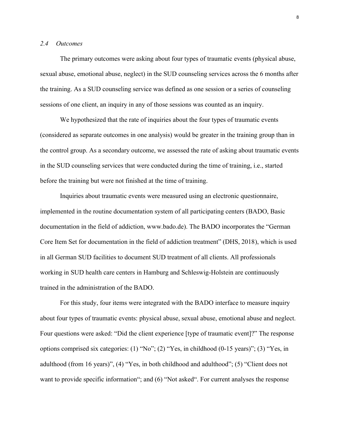### *2.4 Outcomes*

The primary outcomes were asking about four types of traumatic events (physical abuse, sexual abuse, emotional abuse, neglect) in the SUD counseling services across the 6 months after the training. As a SUD counseling service was defined as one session or a series of counseling sessions of one client, an inquiry in any of those sessions was counted as an inquiry.

We hypothesized that the rate of inquiries about the four types of traumatic events (considered as separate outcomes in one analysis) would be greater in the training group than in the control group. As a secondary outcome, we assessed the rate of asking about traumatic events in the SUD counseling services that were conducted during the time of training, i.e., started before the training but were not finished at the time of training.

Inquiries about traumatic events were measured using an electronic questionnaire, implemented in the routine documentation system of all participating centers (BADO, Basic documentation in the field of addiction, www.bado.de). The BADO incorporates the "German Core Item Set for documentation in the field of addiction treatment" (DHS, 2018), which is used in all German SUD facilities to document SUD treatment of all clients. All professionals working in SUD health care centers in Hamburg and Schleswig-Holstein are continuously trained in the administration of the BADO.

For this study, four items were integrated with the BADO interface to measure inquiry about four types of traumatic events: physical abuse, sexual abuse, emotional abuse and neglect. Four questions were asked: "Did the client experience [type of traumatic event]?" The response options comprised six categories: (1) "No"; (2) "Yes, in childhood (0-15 years)"; (3) "Yes, in adulthood (from 16 years)", (4) "Yes, in both childhood and adulthood"; (5) "Client does not want to provide specific information"; and (6) "Not asked". For current analyses the response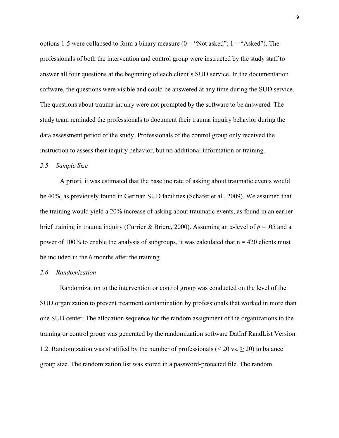options 1-5 were collapsed to form a binary measure ( $0 =$  "Not asked";  $1 =$  "Asked"). The professionals of both the intervention and control group were instructed by the study staff to answer all four questions at the beginning of each client's SUD service. In the documentation software, the questions were visible and could be answered at any time during the SUD service. The questions about trauma inquiry were not prompted by the software to be answered. The study team reminded the professionals to document their trauma inquiry behavior during the data assessment period of the study. Professionals of the control group only received the instruction to assess their inquiry behavior, but no additional information or training.

# *2.5 Sample Size*

A priori, it was estimated that the baseline rate of asking about traumatic events would be 40%, as previously found in German SUD facilities (Schäfer et al., 2009). We assumed that the training would yield a 20% increase of asking about traumatic events, as found in an earlier brief training in trauma inquiry (Currier & Briere, 2000). Assuming an α-level of *p* = .05 and a power of 100% to enable the analysis of subgroups, it was calculated that  $n = 420$  clients must be included in the 6 months after the training.

### *2.6 Randomization*

Randomization to the intervention or control group was conducted on the level of the SUD organization to prevent treatment contamination by professionals that worked in more than one SUD center. The allocation sequence for the random assignment of the organizations to the training or control group was generated by the randomization software DatInf RandList Version 1.2. Randomization was stratified by the number of professionals ( $\leq 20$  vs.  $\geq 20$ ) to balance group size. The randomization list was stored in a password-protected file. The random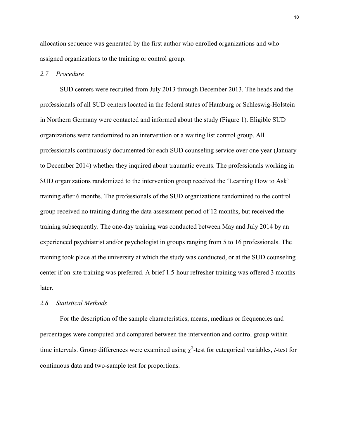allocation sequence was generated by the first author who enrolled organizations and who assigned organizations to the training or control group.

# *2.7 Procedure*

SUD centers were recruited from July 2013 through December 2013. The heads and the professionals of all SUD centers located in the federal states of Hamburg or Schleswig-Holstein in Northern Germany were contacted and informed about the study (Figure 1). Eligible SUD organizations were randomized to an intervention or a waiting list control group. All professionals continuously documented for each SUD counseling service over one year (January to December 2014) whether they inquired about traumatic events. The professionals working in SUD organizations randomized to the intervention group received the 'Learning How to Ask' training after 6 months. The professionals of the SUD organizations randomized to the control group received no training during the data assessment period of 12 months, but received the training subsequently. The one-day training was conducted between May and July 2014 by an experienced psychiatrist and/or psychologist in groups ranging from 5 to 16 professionals. The training took place at the university at which the study was conducted, or at the SUD counseling center if on-site training was preferred. A brief 1.5-hour refresher training was offered 3 months later.

### *2.8 Statistical Methods*

For the description of the sample characteristics, means, medians or frequencies and percentages were computed and compared between the intervention and control group within time intervals. Group differences were examined using  $\chi^2$ -test for categorical variables, *t*-test for continuous data and two-sample test for proportions.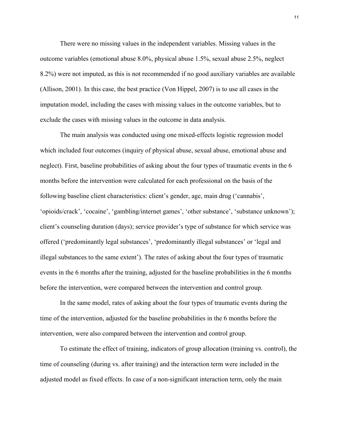There were no missing values in the independent variables. Missing values in the outcome variables (emotional abuse 8.0%, physical abuse 1.5%, sexual abuse 2.5%, neglect 8.2%) were not imputed, as this is not recommended if no good auxiliary variables are available (Allison, 2001). In this case, the best practice (Von Hippel, 2007) is to use all cases in the imputation model, including the cases with missing values in the outcome variables, but to exclude the cases with missing values in the outcome in data analysis.

The main analysis was conducted using one mixed-effects logistic regression model which included four outcomes (inquiry of physical abuse, sexual abuse, emotional abuse and neglect). First, baseline probabilities of asking about the four types of traumatic events in the 6 months before the intervention were calculated for each professional on the basis of the following baseline client characteristics: client's gender, age, main drug ('cannabis', 'opioids/crack', 'cocaine', 'gambling/internet games', 'other substance', 'substance unknown'); client's counseling duration (days); service provider's type of substance for which service was offered ('predominantly legal substances', 'predominantly illegal substances' or 'legal and illegal substances to the same extent'). The rates of asking about the four types of traumatic events in the 6 months after the training, adjusted for the baseline probabilities in the 6 months before the intervention, were compared between the intervention and control group.

In the same model, rates of asking about the four types of traumatic events during the time of the intervention, adjusted for the baseline probabilities in the 6 months before the intervention, were also compared between the intervention and control group.

To estimate the effect of training, indicators of group allocation (training vs. control), the time of counseling (during vs. after training) and the interaction term were included in the adjusted model as fixed effects. In case of a non-significant interaction term, only the main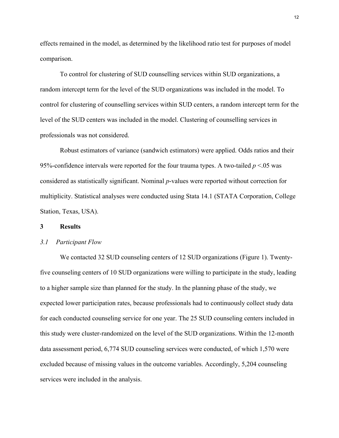effects remained in the model, as determined by the likelihood ratio test for purposes of model comparison.

To control for clustering of SUD counselling services within SUD organizations, a random intercept term for the level of the SUD organizations was included in the model. To control for clustering of counselling services within SUD centers, a random intercept term for the level of the SUD centers was included in the model. Clustering of counselling services in professionals was not considered.

Robust estimators of variance (sandwich estimators) were applied. Odds ratios and their 95%-confidence intervals were reported for the four trauma types. A two-tailed  $p < 05$  was considered as statistically significant. Nominal *p*-values were reported without correction for multiplicity. Statistical analyses were conducted using Stata 14.1 (STATA Corporation, College Station, Texas, USA).

### **3 Results**

#### *3.1 Participant Flow*

We contacted 32 SUD counseling centers of 12 SUD organizations (Figure 1). Twentyfive counseling centers of 10 SUD organizations were willing to participate in the study, leading to a higher sample size than planned for the study. In the planning phase of the study, we expected lower participation rates, because professionals had to continuously collect study data for each conducted counseling service for one year. The 25 SUD counseling centers included in this study were cluster-randomized on the level of the SUD organizations. Within the 12-month data assessment period, 6,774 SUD counseling services were conducted, of which 1,570 were excluded because of missing values in the outcome variables. Accordingly, 5,204 counseling services were included in the analysis.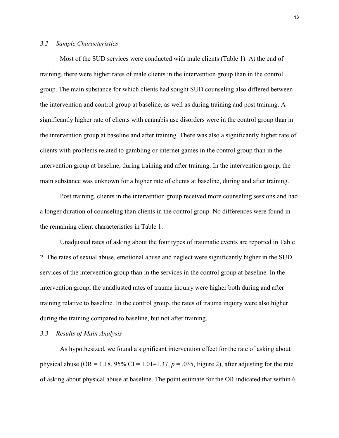# *3.2 Sample Characteristics*

Most of the SUD services were conducted with male clients (Table 1). At the end of training, there were higher rates of male clients in the intervention group than in the control group. The main substance for which clients had sought SUD counseling also differed between the intervention and control group at baseline, as well as during training and post training. A significantly higher rate of clients with cannabis use disorders were in the control group than in the intervention group at baseline and after training. There was also a significantly higher rate of clients with problems related to gambling or internet games in the control group than in the intervention group at baseline, during training and after training. In the intervention group, the main substance was unknown for a higher rate of clients at baseline, during and after training.

Post training, clients in the intervention group received more counseling sessions and had a longer duration of counseling than clients in the control group. No differences were found in the remaining client characteristics in Table 1.

Unadjusted rates of asking about the four types of traumatic events are reported in Table 2. The rates of sexual abuse, emotional abuse and neglect were significantly higher in the SUD services of the intervention group than in the services in the control group at baseline. In the intervention group, the unadjusted rates of trauma inquiry were higher both during and after training relative to baseline. In the control group, the rates of trauma inquiry were also higher during the training compared to baseline, but not after training.

# *3.3 Results of Main Analysis*

As hypothesized, we found a significant intervention effect for the rate of asking about physical abuse (OR = 1.18, 95% CI = 1.01–1.37,  $p = .035$ , Figure 2), after adjusting for the rate of asking about physical abuse at baseline. The point estimate for the OR indicated that within 6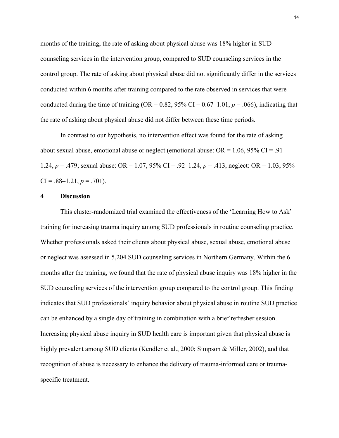months of the training, the rate of asking about physical abuse was 18% higher in SUD counseling services in the intervention group, compared to SUD counseling services in the control group. The rate of asking about physical abuse did not significantly differ in the services conducted within 6 months after training compared to the rate observed in services that were conducted during the time of training (OR =  $0.82$ ,  $95\%$  CI =  $0.67-1.01$ ,  $p = .066$ ), indicating that the rate of asking about physical abuse did not differ between these time periods.

In contrast to our hypothesis, no intervention effect was found for the rate of asking about sexual abuse, emotional abuse or neglect (emotional abuse:  $OR = 1.06$ , 95% CI = .91– 1.24, *p* = .479; sexual abuse: OR = 1.07, 95% CI = .92–1.24, *p* = .413, neglect: OR = 1.03, 95%  $CI = .88 - 1.21, p = .701$ .

#### **4 Discussion**

This cluster-randomized trial examined the effectiveness of the 'Learning How to Ask' training for increasing trauma inquiry among SUD professionals in routine counseling practice. Whether professionals asked their clients about physical abuse, sexual abuse, emotional abuse or neglect was assessed in 5,204 SUD counseling services in Northern Germany. Within the 6 months after the training, we found that the rate of physical abuse inquiry was 18% higher in the SUD counseling services of the intervention group compared to the control group. This finding indicates that SUD professionals' inquiry behavior about physical abuse in routine SUD practice can be enhanced by a single day of training in combination with a brief refresher session. Increasing physical abuse inquiry in SUD health care is important given that physical abuse is highly prevalent among SUD clients (Kendler et al., 2000; Simpson & Miller, 2002), and that recognition of abuse is necessary to enhance the delivery of trauma-informed care or traumaspecific treatment.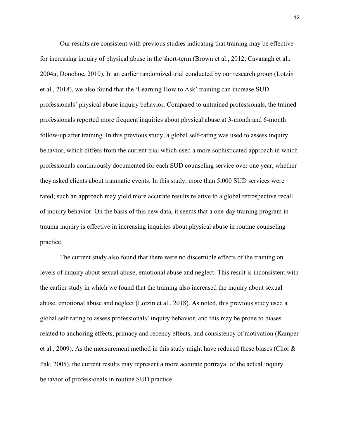Our results are consistent with previous studies indicating that training may be effective for increasing inquiry of physical abuse in the short-term (Brown et al., 2012; Cavanagh et al., 2004a; Donohoe, 2010). In an earlier randomized trial conducted by our research group (Lotzin et al., 2018), we also found that the 'Learning How to Ask' training can increase SUD professionals' physical abuse inquiry behavior. Compared to untrained professionals, the trained professionals reported more frequent inquiries about physical abuse at 3-month and 6-month follow-up after training. In this previous study, a global self-rating was used to assess inquiry behavior, which differs from the current trial which used a more sophisticated approach in which professionals continuously documented for each SUD counseling service over one year, whether they asked clients about traumatic events. In this study, more than 5,000 SUD services were rated; such an approach may yield more accurate results relative to a global retrospective recall of inquiry behavior. On the basis of this new data, it seems that a one-day training program in trauma inquiry is effective in increasing inquiries about physical abuse in routine counseling practice.

The current study also found that there were no discernible effects of the training on levels of inquiry about sexual abuse, emotional abuse and neglect. This result is inconsistent with the earlier study in which we found that the training also increased the inquiry about sexual abuse, emotional abuse and neglect (Lotzin et al., 2018). As noted, this previous study used a global self-rating to assess professionals' inquiry behavior, and this may be prone to biases related to anchoring effects, primacy and recency effects, and consistency of motivation (Kamper et al., 2009). As the measurement method in this study might have reduced these biases (Choi  $\&$ Pak, 2005), the current results may represent a more accurate portrayal of the actual inquiry behavior of professionals in routine SUD practice.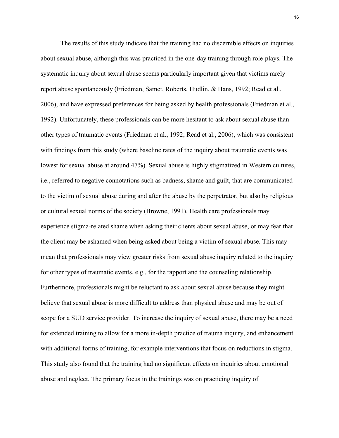The results of this study indicate that the training had no discernible effects on inquiries about sexual abuse, although this was practiced in the one-day training through role-plays. The systematic inquiry about sexual abuse seems particularly important given that victims rarely report abuse spontaneously (Friedman, Samet, Roberts, Hudlin, & Hans, 1992; Read et al., 2006), and have expressed preferences for being asked by health professionals (Friedman et al., 1992). Unfortunately, these professionals can be more hesitant to ask about sexual abuse than other types of traumatic events (Friedman et al., 1992; Read et al., 2006), which was consistent with findings from this study (where baseline rates of the inquiry about traumatic events was lowest for sexual abuse at around 47%). Sexual abuse is highly stigmatized in Western cultures, i.e., referred to negative connotations such as badness, shame and guilt, that are communicated to the victim of sexual abuse during and after the abuse by the perpetrator, but also by religious or cultural sexual norms of the society (Browne, 1991). Health care professionals may experience stigma-related shame when asking their clients about sexual abuse, or may fear that the client may be ashamed when being asked about being a victim of sexual abuse. This may mean that professionals may view greater risks from sexual abuse inquiry related to the inquiry for other types of traumatic events, e.g., for the rapport and the counseling relationship. Furthermore, professionals might be reluctant to ask about sexual abuse because they might believe that sexual abuse is more difficult to address than physical abuse and may be out of scope for a SUD service provider. To increase the inquiry of sexual abuse, there may be a need for extended training to allow for a more in-depth practice of trauma inquiry, and enhancement with additional forms of training, for example interventions that focus on reductions in stigma. This study also found that the training had no significant effects on inquiries about emotional abuse and neglect. The primary focus in the trainings was on practicing inquiry of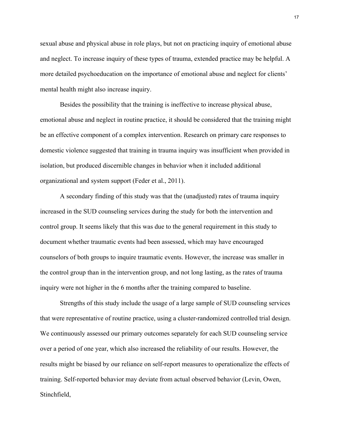sexual abuse and physical abuse in role plays, but not on practicing inquiry of emotional abuse and neglect. To increase inquiry of these types of trauma, extended practice may be helpful. A more detailed psychoeducation on the importance of emotional abuse and neglect for clients' mental health might also increase inquiry.

Besides the possibility that the training is ineffective to increase physical abuse, emotional abuse and neglect in routine practice, it should be considered that the training might be an effective component of a complex intervention. Research on primary care responses to domestic violence suggested that training in trauma inquiry was insufficient when provided in isolation, but produced discernible changes in behavior when it included additional organizational and system support (Feder et al., 2011).

A secondary finding of this study was that the (unadjusted) rates of trauma inquiry increased in the SUD counseling services during the study for both the intervention and control group. It seems likely that this was due to the general requirement in this study to document whether traumatic events had been assessed, which may have encouraged counselors of both groups to inquire traumatic events. However, the increase was smaller in the control group than in the intervention group, and not long lasting, as the rates of trauma inquiry were not higher in the 6 months after the training compared to baseline.

Strengths of this study include the usage of a large sample of SUD counseling services that were representative of routine practice, using a cluster-randomized controlled trial design. We continuously assessed our primary outcomes separately for each SUD counseling service over a period of one year, which also increased the reliability of our results. However, the results might be biased by our reliance on self-report measures to operationalize the effects of training. Self-reported behavior may deviate from actual observed behavior (Levin, Owen, Stinchfield,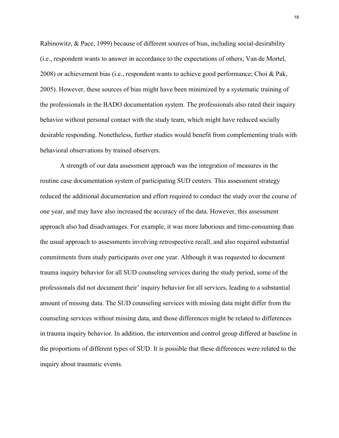Rabinowitz, & Pace, 1999) because of different sources of bias, including social-desirability (i.e., respondent wants to answer in accordance to the expectations of others; Van de Mortel, 2008) or achievement bias (i.e., respondent wants to achieve good performance; Choi & Pak, 2005). However, these sources of bias might have been minimized by a systematic training of the professionals in the BADO documentation system. The professionals also rated their inquiry behavior without personal contact with the study team, which might have reduced socially desirable responding. Nonetheless, further studies would benefit from complementing trials with behavioral observations by trained observers.

A strength of our data assessment approach was the integration of measures in the routine case documentation system of participating SUD centers. This assessment strategy reduced the additional documentation and effort required to conduct the study over the course of one year, and may have also increased the accuracy of the data. However, this assessment approach also had disadvantages. For example, it was more laborious and time-consuming than the usual approach to assessments involving retrospective recall, and also required substantial commitments from study participants over one year. Although it was requested to document trauma inquiry behavior for all SUD counseling services during the study period, some of the professionals did not document their' inquiry behavior for all services, leading to a substantial amount of missing data. The SUD counseling services with missing data might differ from the counseling services without missing data, and those differences might be related to differences in trauma inquiry behavior. In addition, the intervention and control group differed at baseline in the proportions of different types of SUD. It is possible that these differences were related to the inquiry about traumatic events.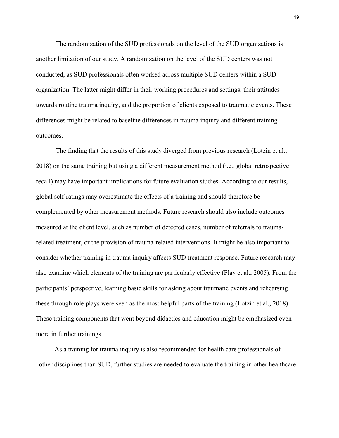The randomization of the SUD professionals on the level of the SUD organizations is another limitation of our study. A randomization on the level of the SUD centers was not conducted, as SUD professionals often worked across multiple SUD centers within a SUD organization. The latter might differ in their working procedures and settings, their attitudes towards routine trauma inquiry, and the proportion of clients exposed to traumatic events. These differences might be related to baseline differences in trauma inquiry and different training outcomes.

The finding that the results of this study diverged from previous research (Lotzin et al., 2018) on the same training but using a different measurement method (i.e., global retrospective recall) may have important implications for future evaluation studies. According to our results, global self-ratings may overestimate the effects of a training and should therefore be complemented by other measurement methods. Future research should also include outcomes measured at the client level, such as number of detected cases, number of referrals to traumarelated treatment, or the provision of trauma-related interventions. It might be also important to consider whether training in trauma inquiry affects SUD treatment response. Future research may also examine which elements of the training are particularly effective (Flay et al., 2005). From the participants' perspective, learning basic skills for asking about traumatic events and rehearsing these through role plays were seen as the most helpful parts of the training (Lotzin et al., 2018). These training components that went beyond didactics and education might be emphasized even more in further trainings.

As a training for trauma inquiry is also recommended for health care professionals of other disciplines than SUD, further studies are needed to evaluate the training in other healthcare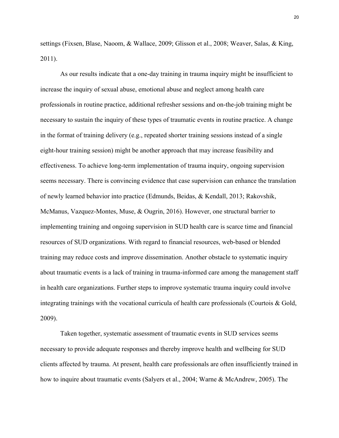settings (Fixsen, Blase, Naoom, & Wallace, 2009; Glisson et al., 2008; Weaver, Salas, & King, 2011).

As our results indicate that a one-day training in trauma inquiry might be insufficient to increase the inquiry of sexual abuse, emotional abuse and neglect among health care professionals in routine practice, additional refresher sessions and on-the-job training might be necessary to sustain the inquiry of these types of traumatic events in routine practice. A change in the format of training delivery (e.g., repeated shorter training sessions instead of a single eight-hour training session) might be another approach that may increase feasibility and effectiveness. To achieve long-term implementation of trauma inquiry, ongoing supervision seems necessary. There is convincing evidence that case supervision can enhance the translation of newly learned behavior into practice (Edmunds, Beidas, & Kendall, 2013; Rakovshik, McManus, Vazquez-Montes, Muse, & Ougrin, 2016). However, one structural barrier to implementing training and ongoing supervision in SUD health care is scarce time and financial resources of SUD organizations. With regard to financial resources, web-based or blended training may reduce costs and improve dissemination. Another obstacle to systematic inquiry about traumatic events is a lack of training in trauma-informed care among the management staff in health care organizations. Further steps to improve systematic trauma inquiry could involve integrating trainings with the vocational curricula of health care professionals (Courtois & Gold, 2009).

Taken together, systematic assessment of traumatic events in SUD services seems necessary to provide adequate responses and thereby improve health and wellbeing for SUD clients affected by trauma. At present, health care professionals are often insufficiently trained in how to inquire about traumatic events (Salyers et al., 2004; Warne & McAndrew, 2005). The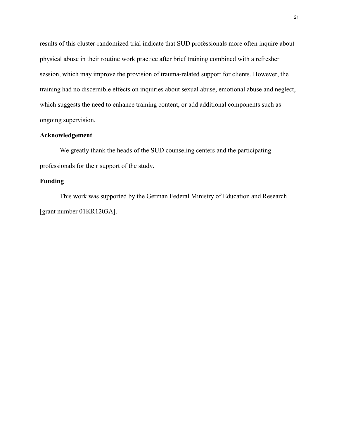results of this cluster-randomized trial indicate that SUD professionals more often inquire about physical abuse in their routine work practice after brief training combined with a refresher session, which may improve the provision of trauma-related support for clients. However, the training had no discernible effects on inquiries about sexual abuse, emotional abuse and neglect, which suggests the need to enhance training content, or add additional components such as ongoing supervision.

# **Acknowledgement**

We greatly thank the heads of the SUD counseling centers and the participating professionals for their support of the study.

# **Funding**

This work was supported by the German Federal Ministry of Education and Research [grant number 01KR1203A].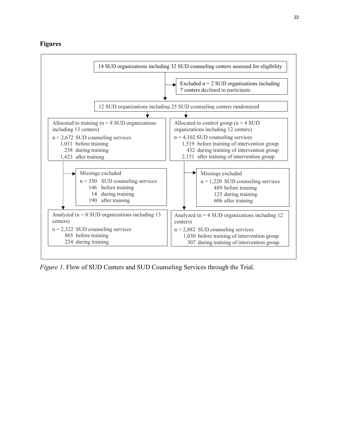# **Figures**



*Figure 1*. Flow of SUD Centers and SUD Counseling Services through the Trial.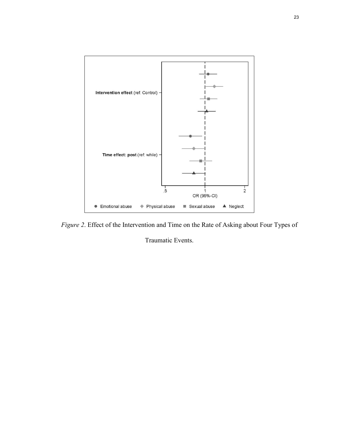

*Figure 2*. Effect of the Intervention and Time on the Rate of Asking about Four Types of

Traumatic Events.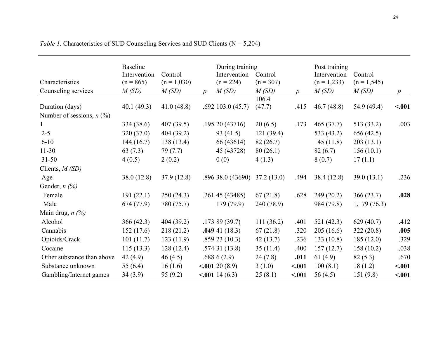|                                          | Baseline      |               |                  | During training                 |             |               | Post training |                |             |  |  |
|------------------------------------------|---------------|---------------|------------------|---------------------------------|-------------|---------------|---------------|----------------|-------------|--|--|
|                                          | Intervention  | Control       |                  | Intervention                    | Control     |               | Intervention  | Control        |             |  |  |
| Characteristics                          | $(n = 865)$   | $(n = 1,030)$ |                  | $(n = 224)$                     | $(n = 307)$ |               | $(n = 1,233)$ | $(n = 1, 545)$ |             |  |  |
| Counseling services                      | M(SD)         | M(SD)         | $\boldsymbol{p}$ | M(SD)                           | M(SD)       | $\mathcal{D}$ | M(SD)         | M(SD)          | $p_{\perp}$ |  |  |
|                                          |               |               |                  |                                 | 106.4       |               |               |                |             |  |  |
| Duration (days)                          | 40.1 $(49.3)$ | 41.0(48.8)    |                  | $.692$ 103.0 (45.7)             | (47.7)      | .415          | 46.7(48.8)    | 54.9 (49.4)    | < .001      |  |  |
| Number of sessions, $n$ (%)              |               |               |                  |                                 |             |               |               |                |             |  |  |
|                                          | 334 (38.6)    | 407(39.5)     |                  | .19520(43716)                   | 20(6.5)     | .173          | 465(37.7)     | 513 (33.2)     | .003        |  |  |
| $2 - 5$                                  | 320(37.0)     | 404 (39.2)    |                  | 93(41.5)                        | 121(39.4)   |               | 533 (43.2)    | 656(42.5)      |             |  |  |
| $6 - 10$                                 | 144(16.7)     | 138(13.4)     |                  | 66 (43614)                      | 82(26.7)    |               | 145(11.8)     | 203(13.1)      |             |  |  |
| $11-30$                                  | 63(7.3)       | 79(7.7)       |                  | 45 (43728)                      | 80(26.1)    |               | 82(6.7)       | 156(10.1)      |             |  |  |
| $31 - 50$                                | 4(0.5)        | 2(0.2)        |                  | 0(0)                            | 4(1.3)      |               | 8(0.7)        | 17(1.1)        |             |  |  |
| Clients, $M(SD)$                         |               |               |                  |                                 |             |               |               |                |             |  |  |
| Age                                      | 38.0(12.8)    | 37.9(12.8)    |                  | $.896$ 38.0 (43690) 37.2 (13.0) |             | .494          | 38.4(12.8)    | 39.0(13.1)     | .236        |  |  |
| Gender, $n$ $\left(\frac{\%}{\%}\right)$ |               |               |                  |                                 |             |               |               |                |             |  |  |
| Female                                   | 191(22.1)     | 250(24.3)     |                  | .26145(43485)                   | 67(21.8)    | .628          | 249(20.2)     | 366(23.7)      | .028        |  |  |
| Male                                     | 674 (77.9)    | 780 (75.7)    |                  | 179(79.9)                       | 240 (78.9)  |               | 984 (79.8)    | 1,179(76.3)    |             |  |  |
| Main drug, $n$ $(\%)$                    |               |               |                  |                                 |             |               |               |                |             |  |  |
| Alcohol                                  | 366(42.3)     | 404(39.2)     |                  | .17389(39.7)                    | 111(36.2)   | .401          | 521(42.3)     | 629(40.7)      | .412        |  |  |
| Cannabis                                 | 152(17.6)     | 218(21.2)     |                  | $.049$ 41 (18.3)                | 67(21.8)    | .320          | 205(16.6)     | 322(20.8)      | .005        |  |  |
| Opioids/Crack                            | 101(11.7)     | 123(11.9)     |                  | .85923(10.3)                    | 42(13.7)    | .236          | 133(10.8)     | 185(12.0)      | .329        |  |  |
| Cocaine                                  | 115(13.3)     | 128(12.4)     |                  | .57431(13.8)                    | 35(11.4)    | .400          | 157(12.7)     | 158(10.2)      | .038        |  |  |
| Other substance than above               | 42(4.9)       | 46(4.5)       |                  | .6886(2.9)                      | 24(7.8)     | .011          | 61(4.9)       | 82(5.3)        | .670        |  |  |
| Substance unknown                        | 55 $(6.4)$    | 16(1.6)       |                  | $\leq 0.0120(8.9)$              | 3(1.0)      | < .001        | 100(8.1)      | 18(1.2)        | < .001      |  |  |
| Gambling/Internet games                  | 34(3.9)       | 95(9.2)       |                  | $\leq 0.0114(6.3)$              | 25(8.1)     | < .001        | 56 $(4.5)$    | 151(9.8)       | < .001      |  |  |

*Table 1.* Characteristics of SUD Counseling Services and SUD Clients (N = 5,204)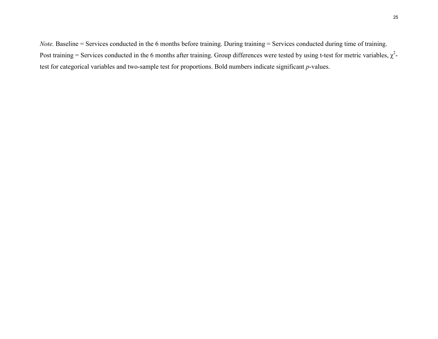*Note.* Baseline = Services conducted in the 6 months before training. During training = Services conducted during time of training. Post training = Services conducted in the 6 months after training. Group differences were tested by using t-test for metric variables,  $\chi^2$ test for categorical variables and two-sample test for proportions. Bold numbers indicate significant *p*-values.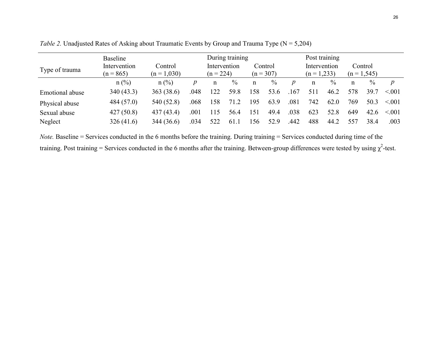| Type of trauma  | Baseline<br>Intervention<br>Control<br>$(n = 865)$<br>$(n = 1,030)$ |                |      | During training<br>Intervention<br>Control<br>$(n = 307)$<br>$(n = 224)$ |      |                 |      |                  | Post training<br>Intervention<br>Control<br>$(n = 1,233)$<br>$(n = 1, 545)$ |      |             |      |                  |
|-----------------|---------------------------------------------------------------------|----------------|------|--------------------------------------------------------------------------|------|-----------------|------|------------------|-----------------------------------------------------------------------------|------|-------------|------|------------------|
|                 | $n(^{0}/_{0})$                                                      | $n(^{0}/_{0})$ | p    | n                                                                        | $\%$ | $\mathbf n$     | $\%$ | $\boldsymbol{p}$ | n                                                                           | $\%$ | $\mathbf n$ | $\%$ | $\boldsymbol{p}$ |
| Emotional abuse | 340(43.3)                                                           | 363 (38.6)     | .048 | 122                                                                      | 59.8 | .58             | 53.6 | .167             | 511                                                                         | 46.2 | 578         | 39.7 | < 0.01           |
| Physical abuse  | 484 (57.0)                                                          | 540 (52.8)     | .068 | 158                                                                      | 71.2 | 195             | 63.9 | .081             | 742                                                                         | 62.0 | 769         | 50.3 | < 0.01           |
| Sexual abuse    | 427(50.8)                                                           | 437 (43.4)     | .001 | 115                                                                      | 56.4 | $\overline{51}$ | 49.4 | .038             | 623                                                                         | 52.8 | 649         | 42.6 | < 0.01           |
| Neglect         | 326(41.6)                                                           | 344 (36.6)     | .034 | 522                                                                      | 61.1 | .56             | 52.9 | .442             | 488                                                                         | 44.2 | 557         | 38.4 | .003             |

*Table 2.* Unadjusted Rates of Asking about Traumatic Events by Group and Trauma Type (N = 5,204)

*Note*. Baseline = Services conducted in the 6 months before the training. During training = Services conducted during time of the training. Post training = Services conducted in the 6 months after the training. Between-group differences were tested by using  $\chi^2$ -test.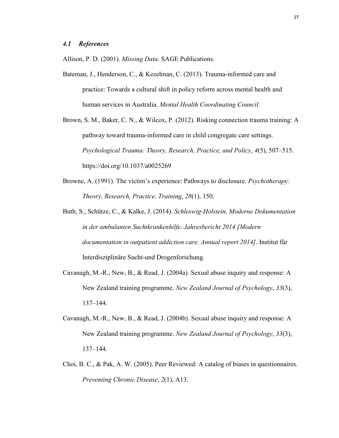Allison, P. D. (2001). *Missing Data*. SAGE Publications.

Bateman, J., Henderson, C., & Kezelman, C. (2013). Trauma-informed care and practice: Towards a cultural shift in policy reform across mental health and human services in Australia. *Mental Health Coordinating Council*.

Brown, S. M., Baker, C. N., & Wilcox, P. (2012). Risking connection trauma training: A pathway toward trauma-informed care in child congregate care settings. *Psychological Trauma: Theory, Research, Practice, and Policy*, *4*(5), 507–515. https://doi.org/10.1037/a0025269

Browne, A. (1991). The victim's experience: Pathways to disclosure. *Psychotherapy: Theory, Research, Practice, Training*, *28*(1), 150.

Buth, S., Schütze, C., & Kalke, J. (2014). *Schleswig-Holstein. Moderne Dokumentation in der ambulanten Suchtkrankenhilfe. Jahresbericht 2014 [Modern documentation in outpatient addiction care. Annual report 2014]*. Institut für Interdisziplinäre Sucht-und Drogenforschung.

- Cavanagh, M.-R., New, B., & Read, J. (2004a). Sexual abuse inquiry and response: A New Zealand training programme. *New Zealand Journal of Psychology*, *33*(3), 137–144.
- Cavanagh, M.-R., New, B., & Read, J. (2004b). Sexual abuse inquiry and response: A New Zealand training programme. *New Zealand Journal of Psychology*, *33*(3), 137–144.
- Choi, B. C., & Pak, A. W. (2005). Peer Reviewed: A catalog of biases in questionnaires. *Preventing Chronic Disease*, *2*(1), A13.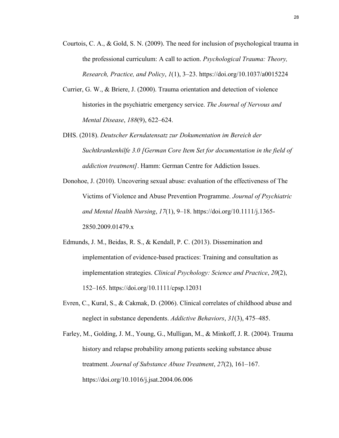- Courtois, C. A., & Gold, S. N. (2009). The need for inclusion of psychological trauma in the professional curriculum: A call to action. *Psychological Trauma: Theory, Research, Practice, and Policy*, *1*(1), 3–23. https://doi.org/10.1037/a0015224
- Currier, G. W., & Briere, J. (2000). Trauma orientation and detection of violence histories in the psychiatric emergency service. *The Journal of Nervous and Mental Disease*, *188*(9), 622–624.
- DHS. (2018). *Deutscher Kerndatensatz zur Dokumentation im Bereich der Suchtkrankenhilfe 3.0 [German Core Item Set for documentation in the field of addiction treatment]*. Hamm: German Centre for Addiction Issues.
- Donohoe, J. (2010). Uncovering sexual abuse: evaluation of the effectiveness of The Victims of Violence and Abuse Prevention Programme. *Journal of Psychiatric and Mental Health Nursing*, *17*(1), 9–18. https://doi.org/10.1111/j.1365- 2850.2009.01479.x
- Edmunds, J. M., Beidas, R. S., & Kendall, P. C. (2013). Dissemination and implementation of evidence-based practices: Training and consultation as implementation strategies. *Clinical Psychology: Science and Practice*, *20*(2), 152–165. https://doi.org/10.1111/cpsp.12031
- Evren, C., Kural, S., & Cakmak, D. (2006). Clinical correlates of childhood abuse and neglect in substance dependents. *Addictive Behaviors*, *31*(3), 475–485.
- Farley, M., Golding, J. M., Young, G., Mulligan, M., & Minkoff, J. R. (2004). Trauma history and relapse probability among patients seeking substance abuse treatment. *Journal of Substance Abuse Treatment*, *27*(2), 161–167. https://doi.org/10.1016/j.jsat.2004.06.006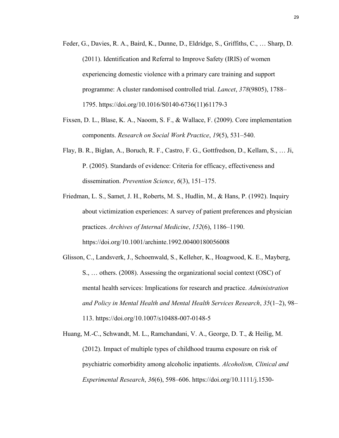- Feder, G., Davies, R. A., Baird, K., Dunne, D., Eldridge, S., Griffiths, C., … Sharp, D. (2011). Identification and Referral to Improve Safety (IRIS) of women experiencing domestic violence with a primary care training and support programme: A cluster randomised controlled trial. *Lancet*, *378*(9805), 1788– 1795. https://doi.org/10.1016/S0140-6736(11)61179-3
- Fixsen, D. L., Blase, K. A., Naoom, S. F., & Wallace, F. (2009). Core implementation components. *Research on Social Work Practice*, *19*(5), 531–540.
- Flay, B. R., Biglan, A., Boruch, R. F., Castro, F. G., Gottfredson, D., Kellam, S., … Ji, P. (2005). Standards of evidence: Criteria for efficacy, effectiveness and dissemination. *Prevention Science*, *6*(3), 151–175.
- Friedman, L. S., Samet, J. H., Roberts, M. S., Hudlin, M., & Hans, P. (1992). Inquiry about victimization experiences: A survey of patient preferences and physician practices. *Archives of Internal Medicine*, *152*(6), 1186–1190. https://doi.org/10.1001/archinte.1992.00400180056008
- Glisson, C., Landsverk, J., Schoenwald, S., Kelleher, K., Hoagwood, K. E., Mayberg, S., … others. (2008). Assessing the organizational social context (OSC) of mental health services: Implications for research and practice. *Administration and Policy in Mental Health and Mental Health Services Research*, *35*(1–2), 98– 113. https://doi.org/10.1007/s10488-007-0148-5
- Huang, M.-C., Schwandt, M. L., Ramchandani, V. A., George, D. T., & Heilig, M. (2012). Impact of multiple types of childhood trauma exposure on risk of psychiatric comorbidity among alcoholic inpatients. *Alcoholism, Clinical and Experimental Research*, *36*(6), 598–606. https://doi.org/10.1111/j.1530-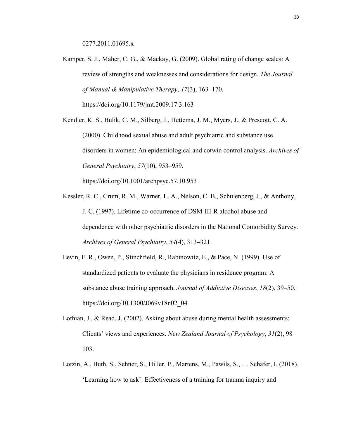0277.2011.01695.x

Kamper, S. J., Maher, C. G., & Mackay, G. (2009). Global rating of change scales: A review of strengths and weaknesses and considerations for design. *The Journal of Manual & Manipulative Therapy*, *17*(3), 163–170. https://doi.org/10.1179/jmt.2009.17.3.163

Kendler, K. S., Bulik, C. M., Silberg, J., Hettema, J. M., Myers, J., & Prescott, C. A. (2000). Childhood sexual abuse and adult psychiatric and substance use disorders in women: An epidemiological and cotwin control analysis. *Archives of General Psychiatry*, *57*(10), 953–959.

https://doi.org/10.1001/archpsyc.57.10.953

- Kessler, R. C., Crum, R. M., Warner, L. A., Nelson, C. B., Schulenberg, J., & Anthony, J. C. (1997). Lifetime co-occurrence of DSM-III-R alcohol abuse and dependence with other psychiatric disorders in the National Comorbidity Survey. *Archives of General Psychiatry*, *54*(4), 313–321.
- Levin, F. R., Owen, P., Stinchfield, R., Rabinowitz, E., & Pace, N. (1999). Use of standardized patients to evaluate the physicians in residence program: A substance abuse training approach. *Journal of Addictive Diseases*, *18*(2), 39–50. https://doi.org/10.1300/J069v18n02\_04
- Lothian, J., & Read, J. (2002). Asking about abuse during mental health assessments: Clients' views and experiences. *New Zealand Journal of Psychology*, *31*(2), 98– 103.
- Lotzin, A., Buth, S., Sehner, S., Hiller, P., Martens, M., Pawils, S., … Schäfer, I. (2018). 'Learning how to ask': Effectiveness of a training for trauma inquiry and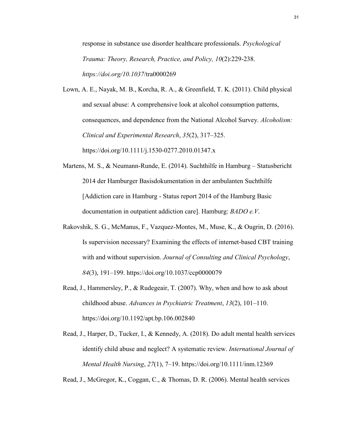response in substance use disorder healthcare professionals. *Psychological Trauma: Theory, Research, Practice, and Policy, 10*(2):229-238. *https://doi.org/10.1037*/tra0000269

Lown, A. E., Nayak, M. B., Korcha, R. A., & Greenfield, T. K. (2011). Child physical and sexual abuse: A comprehensive look at alcohol consumption patterns, consequences, and dependence from the National Alcohol Survey. *Alcoholism: Clinical and Experimental Research*, *35*(2), 317–325. https://doi.org/10.1111/j.1530-0277.2010.01347.x

Martens, M. S., & Neumann-Runde, E. (2014). Suchthilfe in Hamburg – Statusbericht 2014 der Hamburger Basisdokumentation in der ambulanten Suchthilfe [Addiction care in Hamburg - Status report 2014 of the Hamburg Basic documentation in outpatient addiction care]. Hamburg: *BADO e.V*.

- Rakovshik, S. G., McManus, F., Vazquez-Montes, M., Muse, K., & Ougrin, D. (2016). Is supervision necessary? Examining the effects of internet-based CBT training with and without supervision. *Journal of Consulting and Clinical Psychology*, *84*(3), 191–199. https://doi.org/10.1037/ccp0000079
- Read, J., Hammersley, P., & Rudegeair, T. (2007). Why, when and how to ask about childhood abuse. *Advances in Psychiatric Treatment*, *13*(2), 101–110. https://doi.org/10.1192/apt.bp.106.002840
- Read, J., Harper, D., Tucker, I., & Kennedy, A. (2018). Do adult mental health services identify child abuse and neglect? A systematic review. *International Journal of Mental Health Nursing*, *27*(1), 7–19. https://doi.org/10.1111/inm.12369

Read, J., McGregor, K., Coggan, C., & Thomas, D. R. (2006). Mental health services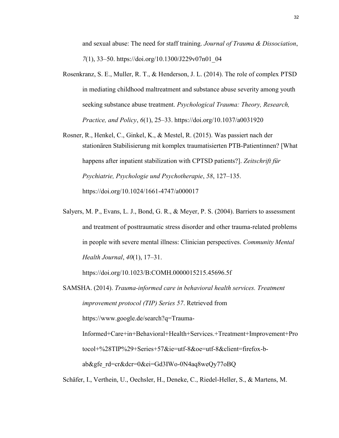and sexual abuse: The need for staff training. *Journal of Trauma & Dissociation*, *7*(1), 33–50. https://doi.org/10.1300/J229v07n01\_04

- Rosenkranz, S. E., Muller, R. T., & Henderson, J. L. (2014). The role of complex PTSD in mediating childhood maltreatment and substance abuse severity among youth seeking substance abuse treatment. *Psychological Trauma: Theory, Research, Practice, and Policy*, *6*(1), 25–33. https://doi.org/10.1037/a0031920
- Rosner, R., Henkel, C., Ginkel, K., & Mestel, R. (2015). Was passiert nach der stationären Stabilisierung mit komplex traumatisierten PTB-Patientinnen? [What happens after inpatient stabilization with CPTSD patients?]. *Zeitschrift für Psychiatrie, Psychologie und Psychotherapie*, *58*, 127–135. https://doi.org/10.1024/1661-4747/a000017
- Salyers, M. P., Evans, L. J., Bond, G. R., & Meyer, P. S. (2004). Barriers to assessment and treatment of posttraumatic stress disorder and other trauma-related problems in people with severe mental illness: Clinician perspectives. *Community Mental Health Journal*, *40*(1), 17–31.

https://doi.org/10.1023/B:COMH.0000015215.45696.5f

SAMSHA. (2014). *Trauma-informed care in behavioral health services. Treatment improvement protocol (TIP) Series 57*. Retrieved from https://www.google.de/search?q=Trauma-Informed+Care+in+Behavioral+Health+Services.+Treatment+Improvement+Pro tocol+%28TIP%29+Series+57&ie=utf-8&oe=utf-8&client=firefox-bab&gfe\_rd=cr&dcr=0&ei=Gd3IWo-0N4aq8weQy77oBQ

Schäfer, I., Verthein, U., Oechsler, H., Deneke, C., Riedel-Heller, S., & Martens, M.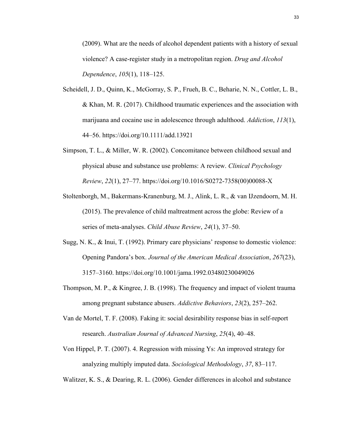(2009). What are the needs of alcohol dependent patients with a history of sexual violence? A case-register study in a metropolitan region. *Drug and Alcohol Dependence*, *105*(1), 118–125.

- Scheidell, J. D., Quinn, K., McGorray, S. P., Frueh, B. C., Beharie, N. N., Cottler, L. B., & Khan, M. R. (2017). Childhood traumatic experiences and the association with marijuana and cocaine use in adolescence through adulthood. *Addiction*, *113*(1), 44–56. https://doi.org/10.1111/add.13921
- Simpson, T. L., & Miller, W. R. (2002). Concomitance between childhood sexual and physical abuse and substance use problems: A review. *Clinical Psychology Review*, *22*(1), 27–77. https://doi.org/10.1016/S0272-7358(00)00088-X
- Stoltenborgh, M., Bakermans-Kranenburg, M. J., Alink, L. R., & van IJzendoorn, M. H. (2015). The prevalence of child maltreatment across the globe: Review of a series of meta-analyses. *Child Abuse Review*, *24*(1), 37–50.
- Sugg, N. K., & Inui, T. (1992). Primary care physicians' response to domestic violence: Opening Pandora's box. *Journal of the American Medical Association*, *267*(23), 3157–3160. https://doi.org/10.1001/jama.1992.03480230049026
- Thompson, M. P., & Kingree, J. B. (1998). The frequency and impact of violent trauma among pregnant substance abusers. *Addictive Behaviors*, *23*(2), 257–262.
- Van de Mortel, T. F. (2008). Faking it: social desirability response bias in self-report research. *Australian Journal of Advanced Nursing*, *25*(4), 40–48.
- Von Hippel, P. T. (2007). 4. Regression with missing Ys: An improved strategy for analyzing multiply imputed data. *Sociological Methodology*, *37*, 83–117.

Walitzer, K. S., & Dearing, R. L. (2006). Gender differences in alcohol and substance